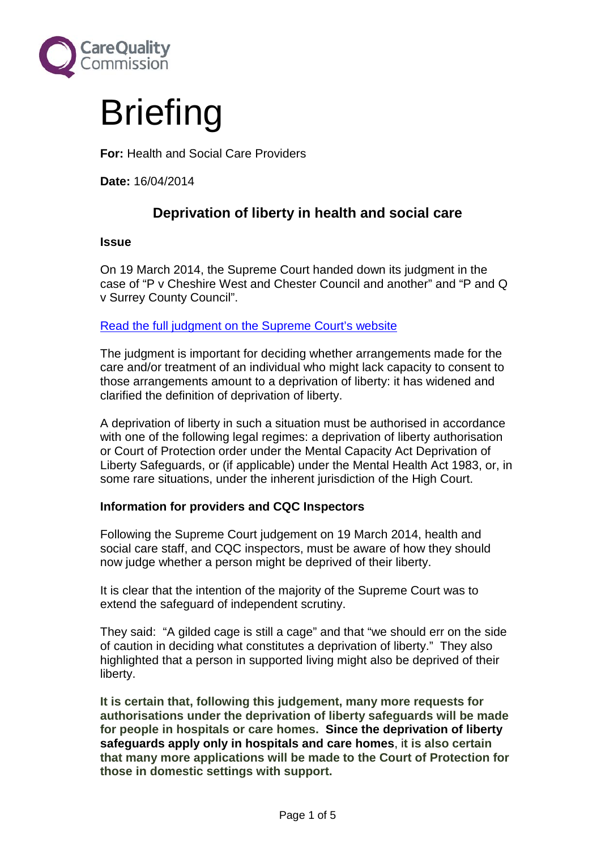

# **Briefing**

**For:** Health and Social Care Providers

**Date:** 16/04/2014

# **Deprivation of liberty in health and social care**

#### **Issue**

On 19 March 2014, the Supreme Court handed down its judgment in the case of "P v Cheshire West and Chester Council and another" and "P and Q v Surrey County Council".

[Read the full judgment on the Supreme Court's website](http://www.supremecourt.uk/decided-cases/docs/UKSC_2012_0068_Judgment.pdf)

The judgment is important for deciding whether arrangements made for the care and/or treatment of an individual who might lack capacity to consent to those arrangements amount to a deprivation of liberty: it has widened and clarified the definition of deprivation of liberty.

A deprivation of liberty in such a situation must be authorised in accordance with one of the following legal regimes: a deprivation of liberty authorisation or Court of Protection order under the Mental Capacity Act Deprivation of Liberty Safeguards, or (if applicable) under the Mental Health Act 1983, or, in some rare situations, under the inherent jurisdiction of the High Court.

#### **Information for providers and CQC Inspectors**

Following the Supreme Court judgement on 19 March 2014, health and social care staff, and CQC inspectors, must be aware of how they should now judge whether a person might be deprived of their liberty.

It is clear that the intention of the majority of the Supreme Court was to extend the safeguard of independent scrutiny.

They said: "A gilded cage is still a cage" and that "we should err on the side of caution in deciding what constitutes a deprivation of liberty." They also highlighted that a person in supported living might also be deprived of their liberty.

**It is certain that, following this judgement, many more requests for authorisations under the deprivation of liberty safeguards will be made for people in hospitals or care homes. Since the deprivation of liberty safeguards apply only in hospitals and care homes**, i**t is also certain that many more applications will be made to the Court of Protection for those in domestic settings with support.**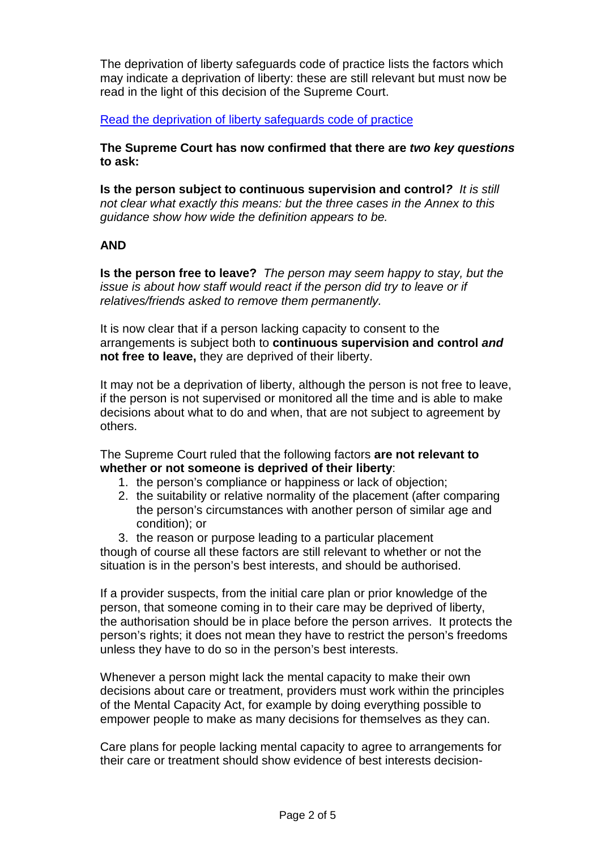The deprivation of liberty safeguards code of practice lists the factors which may indicate a deprivation of liberty: these are still relevant but must now be read in the light of this decision of the Supreme Court.

[Read the deprivation of liberty safeguards](http://webarchive.nationalarchives.gov.uk/20130107105354/http:/www.dh.gov.uk/en/Publicationsandstatistics/Publications/PublicationsPolicyAndGuidance/DH_085476) code of practice

**The Supreme Court has now confirmed that there are** *two key questions* **to ask:** 

**Is the person subject to continuous supervision and control***? It is still not clear what exactly this means: but the three cases in the Annex to this guidance show how wide the definition appears to be.* 

# **AND**

**Is the person free to leave?** *The person may seem happy to stay, but the issue is about how staff would react if the person did try to leave or if relatives/friends asked to remove them permanently.*

It is now clear that if a person lacking capacity to consent to the arrangements is subject both to **continuous supervision and control** *and* **not free to leave,** they are deprived of their liberty.

It may not be a deprivation of liberty, although the person is not free to leave, if the person is not supervised or monitored all the time and is able to make decisions about what to do and when, that are not subject to agreement by others.

The Supreme Court ruled that the following factors **are not relevant to whether or not someone is deprived of their liberty**:

- 1. the person's compliance or happiness or lack of objection;
- 2. the suitability or relative normality of the placement (after comparing the person's circumstances with another person of similar age and condition); or
- 3. the reason or purpose leading to a particular placement

though of course all these factors are still relevant to whether or not the situation is in the person's best interests, and should be authorised.

If a provider suspects, from the initial care plan or prior knowledge of the person, that someone coming in to their care may be deprived of liberty, the authorisation should be in place before the person arrives. It protects the person's rights; it does not mean they have to restrict the person's freedoms unless they have to do so in the person's best interests.

Whenever a person might lack the mental capacity to make their own decisions about care or treatment, providers must work within the principles of the Mental Capacity Act, for example by doing everything possible to empower people to make as many decisions for themselves as they can.

Care plans for people lacking mental capacity to agree to arrangements for their care or treatment should show evidence of best interests decision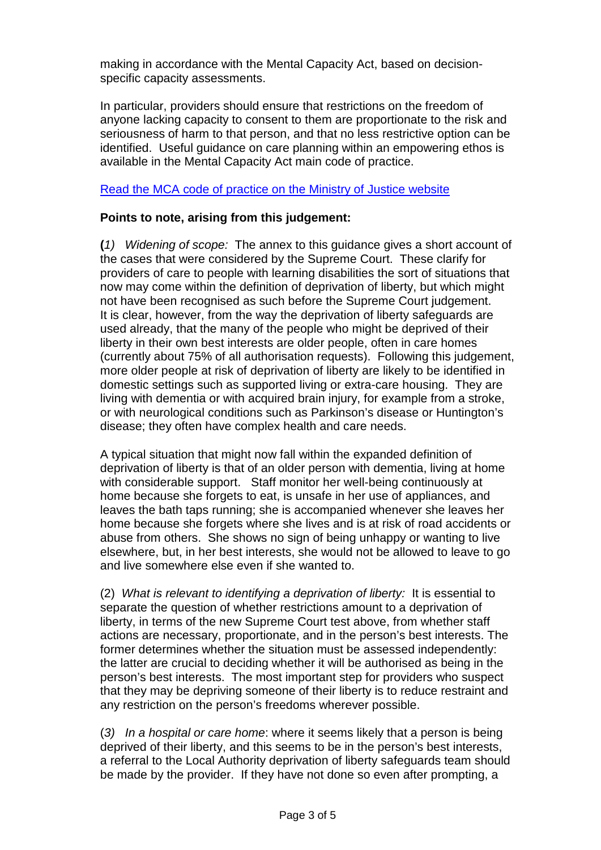making in accordance with the Mental Capacity Act, based on decisionspecific capacity assessments.

In particular, providers should ensure that restrictions on the freedom of anyone lacking capacity to consent to them are proportionate to the risk and seriousness of harm to that person, and that no less restrictive option can be identified. Useful guidance on care planning within an empowering ethos is available in the Mental Capacity Act main code of practice.

# [Read the MCA code of practice on the Ministry](http://www.justice.gov.uk/protecting-the-vulnerable/mental-capacity-act) of Justice website

# **Points to note, arising from this judgement:**

**(***1) Widening of scope:* The annex to this guidance gives a short account of the cases that were considered by the Supreme Court. These clarify for providers of care to people with learning disabilities the sort of situations that now may come within the definition of deprivation of liberty, but which might not have been recognised as such before the Supreme Court judgement. It is clear, however, from the way the deprivation of liberty safeguards are used already, that the many of the people who might be deprived of their liberty in their own best interests are older people, often in care homes (currently about 75% of all authorisation requests). Following this judgement, more older people at risk of deprivation of liberty are likely to be identified in domestic settings such as supported living or extra-care housing. They are living with dementia or with acquired brain injury, for example from a stroke, or with neurological conditions such as Parkinson's disease or Huntington's disease; they often have complex health and care needs.

A typical situation that might now fall within the expanded definition of deprivation of liberty is that of an older person with dementia, living at home with considerable support. Staff monitor her well-being continuously at home because she forgets to eat, is unsafe in her use of appliances, and leaves the bath taps running; she is accompanied whenever she leaves her home because she forgets where she lives and is at risk of road accidents or abuse from others. She shows no sign of being unhappy or wanting to live elsewhere, but, in her best interests, she would not be allowed to leave to go and live somewhere else even if she wanted to.

(2) *What is relevant to identifying a deprivation of liberty:* It is essential to separate the question of whether restrictions amount to a deprivation of liberty, in terms of the new Supreme Court test above, from whether staff actions are necessary, proportionate, and in the person's best interests. The former determines whether the situation must be assessed independently: the latter are crucial to deciding whether it will be authorised as being in the person's best interests. The most important step for providers who suspect that they may be depriving someone of their liberty is to reduce restraint and any restriction on the person's freedoms wherever possible.

(*3) In a hospital or care home*: where it seems likely that a person is being deprived of their liberty, and this seems to be in the person's best interests, a referral to the Local Authority deprivation of liberty safeguards team should be made by the provider. If they have not done so even after prompting, a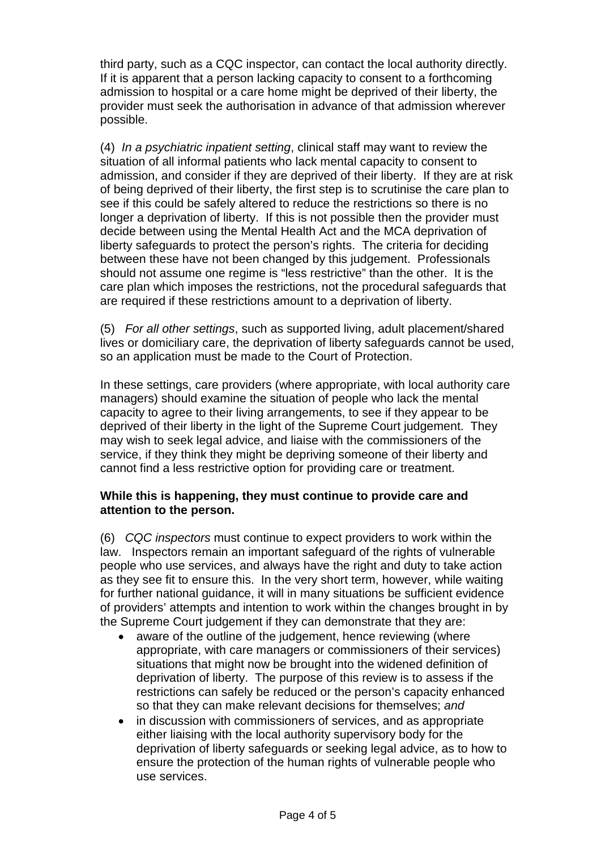third party, such as a CQC inspector, can contact the local authority directly. If it is apparent that a person lacking capacity to consent to a forthcoming admission to hospital or a care home might be deprived of their liberty, the provider must seek the authorisation in advance of that admission wherever possible.

(4) *In a psychiatric inpatient setting*, clinical staff may want to review the situation of all informal patients who lack mental capacity to consent to admission, and consider if they are deprived of their liberty. If they are at risk of being deprived of their liberty, the first step is to scrutinise the care plan to see if this could be safely altered to reduce the restrictions so there is no longer a deprivation of liberty. If this is not possible then the provider must decide between using the Mental Health Act and the MCA deprivation of liberty safeguards to protect the person's rights. The criteria for deciding between these have not been changed by this judgement. Professionals should not assume one regime is "less restrictive" than the other. It is the care plan which imposes the restrictions, not the procedural safeguards that are required if these restrictions amount to a deprivation of liberty.

(5) *For all other settings*, such as supported living, adult placement/shared lives or domiciliary care, the deprivation of liberty safeguards cannot be used, so an application must be made to the Court of Protection.

In these settings, care providers (where appropriate, with local authority care managers) should examine the situation of people who lack the mental capacity to agree to their living arrangements, to see if they appear to be deprived of their liberty in the light of the Supreme Court judgement. They may wish to seek legal advice, and liaise with the commissioners of the service, if they think they might be depriving someone of their liberty and cannot find a less restrictive option for providing care or treatment.

#### **While this is happening, they must continue to provide care and attention to the person.**

(6) *CQC inspectors* must continue to expect providers to work within the law. Inspectors remain an important safeguard of the rights of vulnerable people who use services, and always have the right and duty to take action as they see fit to ensure this. In the very short term, however, while waiting for further national guidance, it will in many situations be sufficient evidence of providers' attempts and intention to work within the changes brought in by the Supreme Court judgement if they can demonstrate that they are:

- aware of the outline of the judgement, hence reviewing (where appropriate, with care managers or commissioners of their services) situations that might now be brought into the widened definition of deprivation of liberty. The purpose of this review is to assess if the restrictions can safely be reduced or the person's capacity enhanced so that they can make relevant decisions for themselves; *and*
- in discussion with commissioners of services, and as appropriate either liaising with the local authority supervisory body for the deprivation of liberty safeguards or seeking legal advice, as to how to ensure the protection of the human rights of vulnerable people who use services.